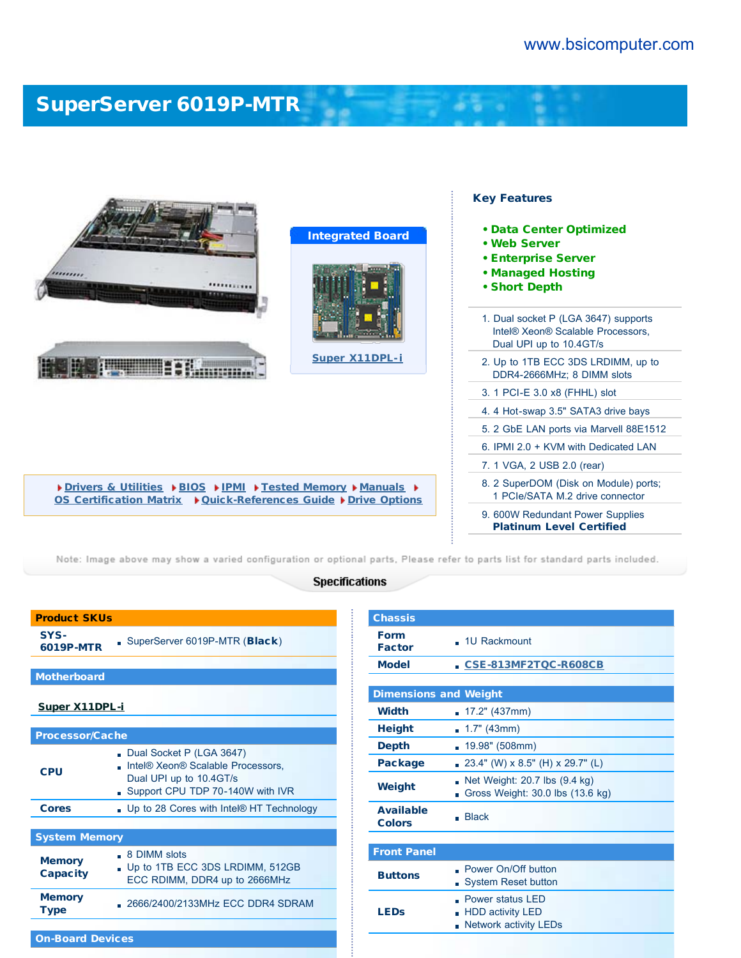$\label{eq:2.1} \frac{1}{2} \left( \frac{1}{2} \right) \left( \frac{1}{2} \right) = 0.$ 

## [SuperServer 6019P-MTR](http://www.bsicomputer.com/products/6019p-mtr-16883)

| <b>Integrated Board</b><br>,,,,,,,,<br>                                                                                       | <b>Key Features</b><br>• Data Center Optimized<br>• Web Server<br><b>• Enterprise Server</b><br>• Managed Hosting<br>• Short Depth |
|-------------------------------------------------------------------------------------------------------------------------------|------------------------------------------------------------------------------------------------------------------------------------|
|                                                                                                                               | 1. Dual socket P (LGA 3647) supports<br>Intel® Xeon® Scalable Processors,<br>Dual UPI up to 10.4GT/s                               |
| Super X11DPL-i                                                                                                                | 2. Up to 1TB ECC 3DS LRDIMM, up to<br>DDR4-2666MHz; 8 DIMM slots                                                                   |
|                                                                                                                               | 3. 1 PCI-E 3.0 x8 (FHHL) slot                                                                                                      |
|                                                                                                                               | 4.4 Hot-swap 3.5" SATA3 drive bays                                                                                                 |
|                                                                                                                               | 5. 2 GbE LAN ports via Marvell 88E1512                                                                                             |
|                                                                                                                               | 6. IPMI 2.0 + KVM with Dedicated LAN                                                                                               |
|                                                                                                                               | 7. 1 VGA, 2 USB 2.0 (rear)                                                                                                         |
| Drivers & Utilities DBIOS DIPMI DFested Memory DManuals D<br>OS Certification Matrix ▶ Quick-References Guide ▶ Drive Options | 8. 2 SuperDOM (Disk on Module) ports;<br>1 PCIe/SATA M.2 drive connector                                                           |
|                                                                                                                               | 9. 600W Redundant Power Supplies<br><b>Platinum Level Certified</b>                                                                |

Note: Image above may show a varied configuration or optional parts, Please refer to parts list for standard parts included.

## **Specifications**

| <b>Product SKUs</b>              |                                                                                                                              |  |  |  |
|----------------------------------|------------------------------------------------------------------------------------------------------------------------------|--|--|--|
| SYS-<br>6019P-MTR                | SuperServer 6019P-MTR (Black)                                                                                                |  |  |  |
| <b>Motherboard</b>               |                                                                                                                              |  |  |  |
| <b>Super X11DPL-i</b>            |                                                                                                                              |  |  |  |
| <b>Processor/Cache</b>           |                                                                                                                              |  |  |  |
| <b>CPU</b>                       | Dual Socket P (LGA 3647)<br>Intel® Xeon® Scalable Processors,<br>Dual UPI up to 10.4GT/s<br>Support CPU TDP 70-140W with IVR |  |  |  |
| <b>Cores</b>                     | . Up to 28 Cores with Intel® HT Technology                                                                                   |  |  |  |
| <b>System Memory</b>             |                                                                                                                              |  |  |  |
| <b>Memory</b><br><b>Capacity</b> | . 8 DIMM slots<br>Up to 1TB ECC 3DS LRDIMM, 512GB<br>ECC RDIMM, DDR4 up to 2666MHz                                           |  |  |  |
| <b>Memory</b><br><b>Type</b>     | . 2666/2400/2133MHz ECC DDR4 SDRAM                                                                                           |  |  |  |
|                                  |                                                                                                                              |  |  |  |

On-Board Devices

| <b>Chassis</b>                    |                                                                             |
|-----------------------------------|-----------------------------------------------------------------------------|
| <b>Form</b><br><b>Factor</b>      | . 1U Rackmount                                                              |
| <b>Model</b>                      | CSE-813MF2TQC-R608CB                                                        |
|                                   |                                                                             |
| <b>Dimensions and Weight</b>      |                                                                             |
| <b>Width</b>                      | $17.2"$ (437mm)                                                             |
| <b>Height</b>                     | $1.7"$ (43mm)                                                               |
| <b>Depth</b>                      | 19.98" (508mm)<br>m.                                                        |
| <b>Package</b>                    | 23.4" (W) x 8.5" (H) x 29.7" (L)<br>m.                                      |
| Weight                            | Net Weight: 20.7 lbs (9.4 kg)<br>Gross Weight: 30.0 lbs (13.6 kg)           |
| <b>Available</b><br><b>Colors</b> | Blace                                                                       |
|                                   |                                                                             |
| <b>Front Panel</b>                |                                                                             |
| <b>Buttons</b>                    | Power On/Off button<br><b>System Reset button</b>                           |
| <b>LEDs</b>                       | Power status LED<br><b>HDD activity LED</b><br><b>Network activity LEDs</b> |
|                                   |                                                                             |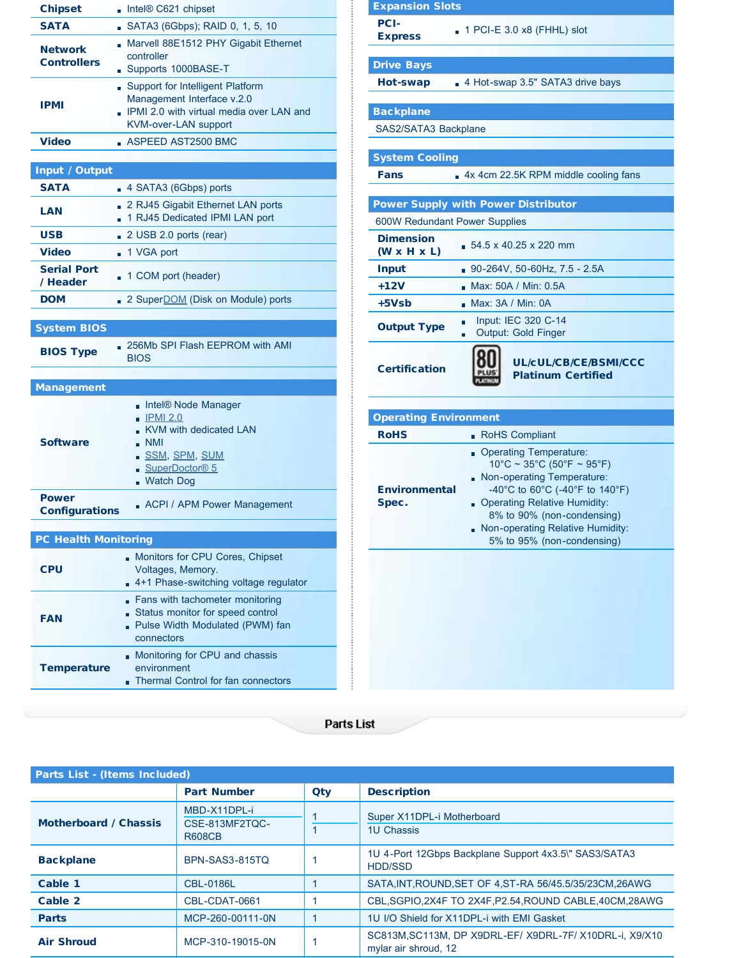| <b>Chipset</b>                        | Intel® C621 chipset                                                                                                                                        |  |  |  |
|---------------------------------------|------------------------------------------------------------------------------------------------------------------------------------------------------------|--|--|--|
| <b>SATA</b>                           | SATA3 (6Gbps); RAID 0, 1, 5, 10                                                                                                                            |  |  |  |
| <b>Network</b><br><b>Controllers</b>  | Marvell 88E1512 PHY Gigabit Ethernet<br>controller<br>Supports 1000BASE-T                                                                                  |  |  |  |
| <b>IPMI</b>                           | Support for Intelligent Platform<br>Management Interface v.2.0<br>IPMI 2.0 with virtual media over LAN and<br><b>KVM-over-LAN support</b>                  |  |  |  |
| <b>Video</b>                          | ASPEED AST2500 BMC                                                                                                                                         |  |  |  |
|                                       |                                                                                                                                                            |  |  |  |
| Input / Output                        |                                                                                                                                                            |  |  |  |
| <b>SATA</b>                           | 4 SATA3 (6Gbps) ports                                                                                                                                      |  |  |  |
| LAN                                   | 2 RJ45 Gigabit Ethernet LAN ports<br>1 RJ45 Dedicated IPMI LAN port                                                                                        |  |  |  |
| <b>USB</b>                            | $\Box$ 2 USB 2.0 ports (rear)                                                                                                                              |  |  |  |
| <b>Video</b>                          | ■ 1 VGA port                                                                                                                                               |  |  |  |
| <b>Serial Port</b><br>/ Header        | 1 COM port (header)                                                                                                                                        |  |  |  |
| <b>DOM</b>                            | 2 Super <b>DOM</b> (Disk on Module) ports                                                                                                                  |  |  |  |
|                                       |                                                                                                                                                            |  |  |  |
| <b>System BIOS</b>                    |                                                                                                                                                            |  |  |  |
| <b>BIOS Type</b>                      | 256Mb SPI Flash EEPROM with AMI<br><b>BIOS</b>                                                                                                             |  |  |  |
| <b>Management</b>                     |                                                                                                                                                            |  |  |  |
| <b>Software</b>                       | Intel® Node Manager<br><u> IPMI 2.0</u><br>KVM with dedicated LAN<br>$\blacksquare$ NMI<br>SSM, SPM, SUM<br>SuperDoctor <sup>®</sup> 5<br><b>Watch Dog</b> |  |  |  |
| <b>Power</b><br><b>Configurations</b> | ACPI / APM Power Management                                                                                                                                |  |  |  |
| <b>PC Health Monitoring</b>           |                                                                                                                                                            |  |  |  |
| <b>CPU</b>                            | Monitors for CPU Cores, Chipset<br>Voltages, Memory.<br>4+1 Phase-switching voltage regulator                                                              |  |  |  |
| <b>FAN</b>                            | Fans with tachometer monitoring<br>Status monitor for speed control<br>- Pulse Width Modulated (PWM) fan                                                   |  |  |  |
|                                       | connectors                                                                                                                                                 |  |  |  |

| <b>Expansion Slots</b>                      |                                                                                                                                |
|---------------------------------------------|--------------------------------------------------------------------------------------------------------------------------------|
| <b>PCI-</b><br><b>Express</b>               | $\blacksquare$ 1 PCI-E 3.0 x8 (FHHL) slot                                                                                      |
| <b>Drive Bays</b>                           |                                                                                                                                |
| <b>Hot-swap</b>                             | 4 Hot-swap 3.5" SATA3 drive bays                                                                                               |
|                                             |                                                                                                                                |
| <b>Backplane</b>                            |                                                                                                                                |
| SAS2/SATA3 Backplane                        |                                                                                                                                |
| <b>System Cooling</b>                       |                                                                                                                                |
| Fans                                        | - 4x 4cm 22.5K RPM middle cooling fans                                                                                         |
|                                             |                                                                                                                                |
|                                             | <b>Power Supply with Power Distributor</b>                                                                                     |
| 600W Redundant Power Supplies               |                                                                                                                                |
| <b>Dimension</b><br>$(W \times H \times L)$ | $54.5 \times 40.25 \times 220$ mm                                                                                              |
| <b>Input</b>                                | $90-264V$ , 50-60Hz, 7.5 - 2.5A                                                                                                |
| $+12V$                                      | Max: 50A / Min: 0.5A                                                                                                           |
| +5Vsb                                       | Max: 3A / Min: 0A                                                                                                              |
| <b>Output Type</b>                          | Input: IEC 320 C-14<br>n<br>Output: Gold Finger<br>ú,                                                                          |
| <b>Certification</b>                        | <b>UL/cUL/CB/CE/BSMI/CCC</b><br><b>Platinum Certified</b>                                                                      |
| <b>Operating Environment</b>                |                                                                                                                                |
| <b>RoHS</b>                                 | RoHS Compliant                                                                                                                 |
| <b>Environmental</b>                        | Operating Temperature:<br>$10^{\circ}$ C ~ 35°C (50°F ~ 95°F)<br>Non-operating Temperature:<br>-40°C to 60°C (-40°F to 140°F)  |
| Spec.                                       | . Operating Relative Humidity:<br>8% to 90% (non-condensing)<br>Non-operating Relative Humidity:<br>5% to 95% (non-condensing) |
|                                             |                                                                                                                                |

**Parts List** 

| <b>Parts List - (Items Included)</b> |                                                 |     |                                                                                 |
|--------------------------------------|-------------------------------------------------|-----|---------------------------------------------------------------------------------|
|                                      | <b>Part Number</b>                              | Qty | <b>Description</b>                                                              |
| <b>Motherboard / Chassis</b>         | MBD-X11DPL-i<br>CSE-813MF2TOC-<br><b>R608CB</b> |     | Super X11DPL-i Motherboard<br>1U Chassis                                        |
| <b>Backplane</b>                     | BPN-SAS3-815TO                                  |     | 1U 4-Port 12Gbps Backplane Support 4x3.5\" SAS3/SATA3<br><b>HDD/SSD</b>         |
| Cable 1                              | <b>CBL-0186L</b>                                |     | SATA, INT, ROUND, SET OF 4, ST-RA 56/45.5/35/23CM, 26AWG                        |
| Cable 2                              | CBL-CDAT-0661                                   |     | CBL, SGPIO, 2X4F TO 2X4F, P2.54, ROUND CABLE, 40CM, 28AWG                       |
| <b>Parts</b>                         | MCP-260-00111-0N                                |     | 1U I/O Shield for X11DPL-i with EMI Gasket                                      |
| <b>Air Shroud</b>                    | MCP-310-19015-0N                                |     | SC813M, SC113M, DP X9DRL-EF/ X9DRL-7F/ X10DRL-i, X9/X10<br>mylar air shroud, 12 |